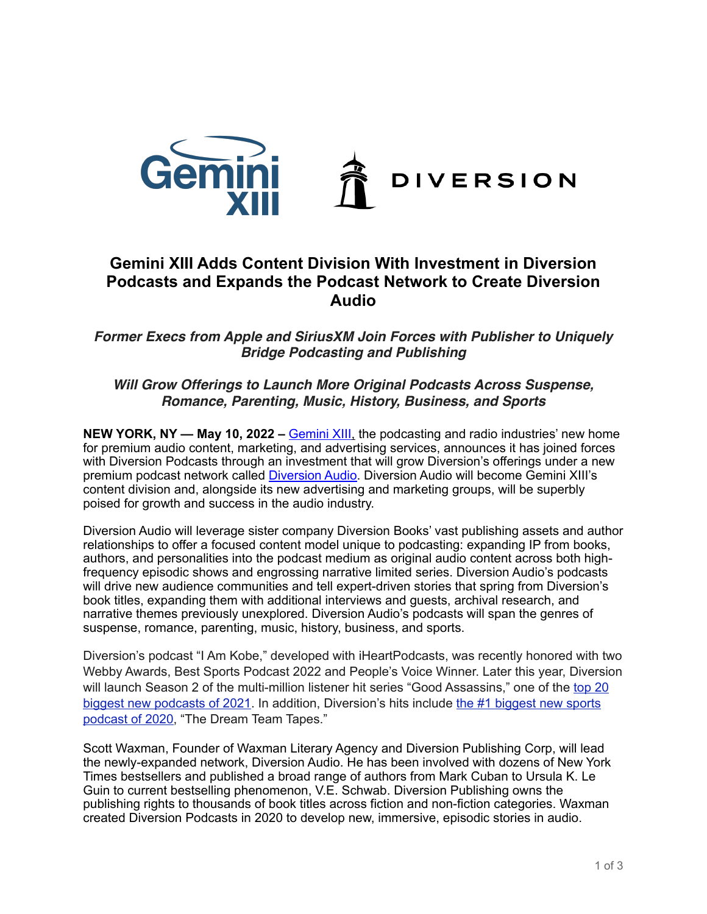

## **Gemini XIII Adds Content Division With Investment in Diversion Podcasts and Expands the Podcast Network to Create Diversion Audio**

*Former Execs from Apple and SiriusXM Join Forces with Publisher to Uniquely Bridge Podcasting and Publishing*

## *Will Grow Offerings to Launch More Original Podcasts Across Suspense, Romance, Parenting, Music, History, Business, and Sports*

**NEW YORK, NY — May 10, 2022 –** [Gemini XIII,](http://www.gemini13media.com/) the podcasting and radio industries' new home for premium audio content, marketing, and advertising services, announces it has joined forces with Diversion Podcasts through an investment that will grow Diversion's offerings under a new premium podcast network called [Diversion Audio](http://www.diversionaudio.com/). Diversion Audio will become Gemini XIII's content division and, alongside its new advertising and marketing groups, will be superbly poised for growth and success in the audio industry.

Diversion Audio will leverage sister company Diversion Books' vast publishing assets and author relationships to offer a focused content model unique to podcasting: expanding IP from books, authors, and personalities into the podcast medium as original audio content across both highfrequency episodic shows and engrossing narrative limited series. Diversion Audio's podcasts will drive new audience communities and tell expert-driven stories that spring from Diversion's book titles, expanding them with additional interviews and guests, archival research, and narrative themes previously unexplored. Diversion Audio's podcasts will span the genres of suspense, romance, parenting, music, history, business, and sports.

Diversion's podcast "I Am Kobe," developed with iHeartPodcasts, was recently honored with two Webby Awards, Best Sports Podcast 2022 and People's Voice Winner. Later this year, Diversion will launch Season 2 of the multi-million listener hit series "Good Assassins," one of the [top 20](http://analytics.podtrac.com/top-new-podcasts-of-2021)  [biggest new podcasts of 2021.](http://analytics.podtrac.com/top-new-podcasts-of-2021) In addition, Diversion's hits include [the #1 biggest new sports](http://analytics.podtrac.com/top-20-new-podcasts-of-2020)  [podcast of 2020](http://analytics.podtrac.com/top-20-new-podcasts-of-2020), "The Dream Team Tapes."

Scott Waxman, Founder of Waxman Literary Agency and Diversion Publishing Corp, will lead the newly-expanded network, Diversion Audio. He has been involved with dozens of New York Times bestsellers and published a broad range of authors from Mark Cuban to Ursula K. Le Guin to current bestselling phenomenon, V.E. Schwab. Diversion Publishing owns the publishing rights to thousands of book titles across fiction and non-fiction categories. Waxman created Diversion Podcasts in 2020 to develop new, immersive, episodic stories in audio.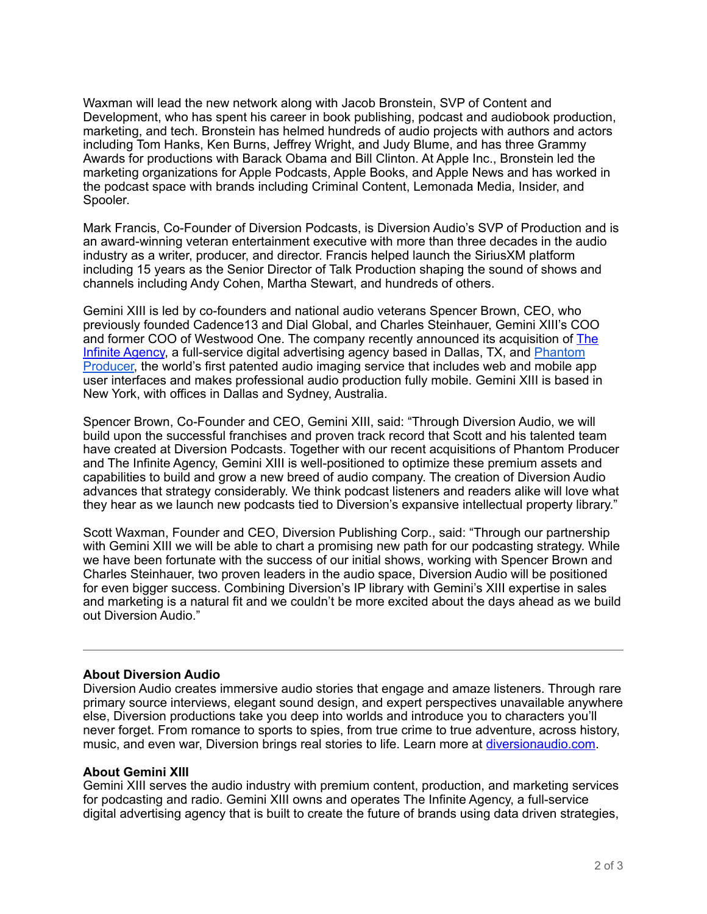Waxman will lead the new network along with Jacob Bronstein, SVP of Content and Development, who has spent his career in book publishing, podcast and audiobook production, marketing, and tech. Bronstein has helmed hundreds of audio projects with authors and actors including Tom Hanks, Ken Burns, Jeffrey Wright, and Judy Blume, and has three Grammy Awards for productions with Barack Obama and Bill Clinton. At Apple Inc., Bronstein led the marketing organizations for Apple Podcasts, Apple Books, and Apple News and has worked in the podcast space with brands including Criminal Content, Lemonada Media, Insider, and Spooler.

Mark Francis, Co-Founder of Diversion Podcasts, is Diversion Audio's SVP of Production and is an award-winning veteran entertainment executive with more than three decades in the audio industry as a writer, producer, and director. Francis helped launch the SiriusXM platform including 15 years as the Senior Director of Talk Production shaping the sound of shows and channels including Andy Cohen, Martha Stewart, and hundreds of others.

Gemini XIII is led by co-founders and national audio veterans Spencer Brown, CEO, who previously founded Cadence13 and Dial Global, and Charles Steinhauer, Gemini XIII's COO and former COO of Westwood One. The company recently announced its acquisition of [The](http://www.theinfiniteagency.com/)  [Infinite Agency,](http://www.theinfiniteagency.com/) a full-service digital advertising agency based in Dallas, TX, and [Phantom](https://www.phantomproducer.com/)  [Producer](https://www.phantomproducer.com/), the world's first patented audio imaging service that includes web and mobile app user interfaces and makes professional audio production fully mobile. Gemini XIII is based in New York, with offices in Dallas and Sydney, Australia.

Spencer Brown, Co-Founder and CEO, Gemini XIII, said: "Through Diversion Audio, we will build upon the successful franchises and proven track record that Scott and his talented team have created at Diversion Podcasts. Together with our recent acquisitions of Phantom Producer and The Infinite Agency, Gemini XIII is well-positioned to optimize these premium assets and capabilities to build and grow a new breed of audio company. The creation of Diversion Audio advances that strategy considerably. We think podcast listeners and readers alike will love what they hear as we launch new podcasts tied to Diversion's expansive intellectual property library."

Scott Waxman, Founder and CEO, Diversion Publishing Corp., said: "Through our partnership with Gemini XIII we will be able to chart a promising new path for our podcasting strategy. While we have been fortunate with the success of our initial shows, working with Spencer Brown and Charles Steinhauer, two proven leaders in the audio space, Diversion Audio will be positioned for even bigger success. Combining Diversion's IP library with Gemini's XIII expertise in sales and marketing is a natural fit and we couldn't be more excited about the days ahead as we build out Diversion Audio."

## **About Diversion Audio**

Diversion Audio creates immersive audio stories that engage and amaze listeners. Through rare primary source interviews, elegant sound design, and expert perspectives unavailable anywhere else, Diversion productions take you deep into worlds and introduce you to characters you'll never forget. From romance to sports to spies, from true crime to true adventure, across history, music, and even war, Diversion brings real stories to life. Learn more at [diversionaudio.com.](http://www.diversionaudio.com/)

## **About Gemini XIII**

Gemini XIII serves the audio industry with premium content, production, and marketing services for podcasting and radio. Gemini XIII owns and operates The Infinite Agency, a full-service digital advertising agency that is built to create the future of brands using data driven strategies,